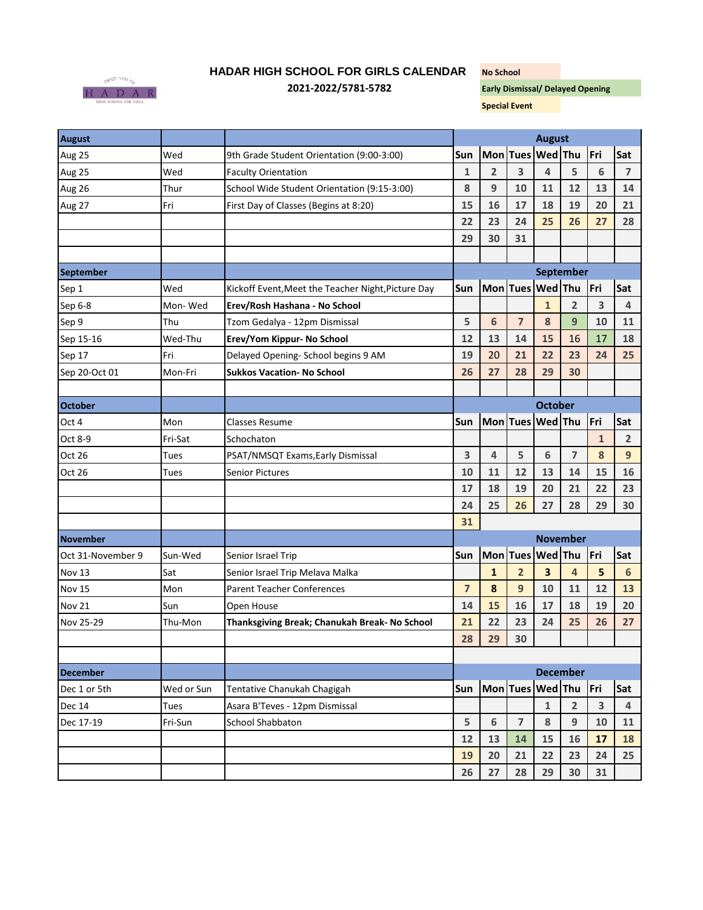

## **HADAR HIGH SCHOOL FOR GIRLS CALENDAR No School**

**2021-2022/5781-5782 Early Dismissal/ Delayed Opening** 

**Special Event**

| <b>August</b>     |            |                                                    | <b>August</b>   |                         |                |                         |                         |                 |                |
|-------------------|------------|----------------------------------------------------|-----------------|-------------------------|----------------|-------------------------|-------------------------|-----------------|----------------|
| Aug 25            | Wed        | 9th Grade Student Orientation (9:00-3:00)          | Sun             |                         |                | Mon Tues Wed Thu        |                         | Fri             | Sat            |
| Aug 25            | Wed        | <b>Faculty Orientation</b>                         | $\mathbf{1}$    | $\overline{2}$          | 3              | 4                       | 5                       | $6\phantom{1}6$ | $\overline{7}$ |
| Aug 26            | Thur       | School Wide Student Orientation (9:15-3:00)        | 8               | 9                       | 10             | 11                      | 12                      | 13              | 14             |
| Aug 27            | Fri        | First Day of Classes (Begins at 8:20)              | 15              | 16                      | 17             | 18                      | 19                      | 20              | 21             |
|                   |            |                                                    | 22              | 23                      | 24             | 25                      | 26                      | 27              | 28             |
|                   |            |                                                    | 29              | 30                      | 31             |                         |                         |                 |                |
|                   |            |                                                    |                 |                         |                |                         |                         |                 |                |
| <b>September</b>  |            |                                                    |                 | September               |                |                         |                         |                 |                |
| Sep 1             | Wed        | Kickoff Event, Meet the Teacher Night, Picture Day | Sun             |                         |                | Mon Tues Wed Thu        |                         | Fri             | Sat            |
| Sep 6-8           | Mon-Wed    | Erev/Rosh Hashana - No School                      |                 |                         |                | $\mathbf{1}$            | $\overline{2}$          | 3               | $\overline{4}$ |
| Sep 9             | Thu        | Tzom Gedalya - 12pm Dismissal                      | 5               | 6                       | $\overline{7}$ | 8                       | 9                       | 10              | 11             |
| Sep 15-16         | Wed-Thu    | Erev/Yom Kippur- No School                         | 12              | 13                      | 14             | 15                      | 16                      | 17              | 18             |
| Sep 17            | Fri        | Delayed Opening- School begins 9 AM                | 19              | 20                      | 21             | 22                      | 23                      | 24              | 25             |
| Sep 20-Oct 01     | Mon-Fri    | <b>Sukkos Vacation- No School</b>                  | 26              | 27                      | 28             | 29                      | 30                      |                 |                |
|                   |            |                                                    |                 |                         |                |                         |                         |                 |                |
| <b>October</b>    |            |                                                    |                 |                         |                | <b>October</b>          |                         |                 |                |
| Oct 4             | Mon        | <b>Classes Resume</b>                              | Sun             |                         |                | Mon Tues Wed Thu        |                         | Fri             | Sat            |
| Oct 8-9           | Fri-Sat    | Schochaton                                         |                 |                         |                |                         |                         | $\mathbf{1}$    | $\overline{2}$ |
| Oct 26            | Tues       | PSAT/NMSQT Exams, Early Dismissal                  | 3               | 4                       | 5              | 6                       | $\overline{\mathbf{z}}$ | 8               | 9              |
| Oct 26            | Tues       | <b>Senior Pictures</b>                             | 10              | 11                      | 12             | 13                      | 14                      | 15              | 16             |
|                   |            |                                                    | 17              | 18                      | 19             | 20                      | 21                      | 22              | 23             |
|                   |            |                                                    | 24              | 25                      | 26             | 27                      | 28                      | 29              | 30             |
|                   |            |                                                    | 31              |                         |                |                         |                         |                 |                |
| <b>November</b>   |            |                                                    | <b>November</b> |                         |                |                         |                         |                 |                |
| Oct 31-November 9 | Sun-Wed    | Senior Israel Trip                                 | <b>Sun</b>      | Mon Tues Wed Thu<br>Fri |                |                         |                         | Sat             |                |
| Nov 13            | Sat        | Senior Israel Trip Melava Malka                    |                 | $\mathbf{1}$            | $\overline{2}$ | $\overline{\mathbf{3}}$ | 4                       | 5               | 6              |
| Nov 15            | Mon        | <b>Parent Teacher Conferences</b>                  | $\overline{7}$  | 8                       | 9              | 10                      | 11                      | 12              | 13             |
| <b>Nov 21</b>     | Sun        | Open House                                         | 14              | 15                      | 16             | 17                      | 18                      | 19              | 20             |
| Nov 25-29         | Thu-Mon    | Thanksgiving Break; Chanukah Break- No School      | 21              | 22                      | 23             | 24                      | 25                      | 26              | 27             |
|                   |            |                                                    | 28              | 29                      | 30             |                         |                         |                 |                |
|                   |            |                                                    |                 |                         |                |                         |                         |                 |                |
| <b>December</b>   |            |                                                    | <b>December</b> |                         |                |                         |                         |                 |                |
| Dec 1 or 5th      | Wed or Sun | Tentative Chanukah Chagigah                        | Sun             |                         |                | Mon Tues Wed Thu        |                         | Fri             | Sat            |
| <b>Dec 14</b>     | Tues       | Asara B'Teves - 12pm Dismissal                     |                 |                         |                | $\mathbf{1}$            | $\overline{2}$          | 3               | $\overline{4}$ |
| Dec 17-19         | Fri-Sun    | <b>School Shabbaton</b>                            | 5               | 6                       | $\overline{7}$ | 8                       | 9                       | 10              | 11             |
|                   |            |                                                    | 12              | 13                      | 14             | 15                      | 16                      | 17              | 18             |
|                   |            |                                                    | 19              | 20                      | 21             | 22                      | 23                      | 24              | 25             |
|                   |            |                                                    | 26              | 27                      | 28             | 29                      | 30                      | 31              |                |